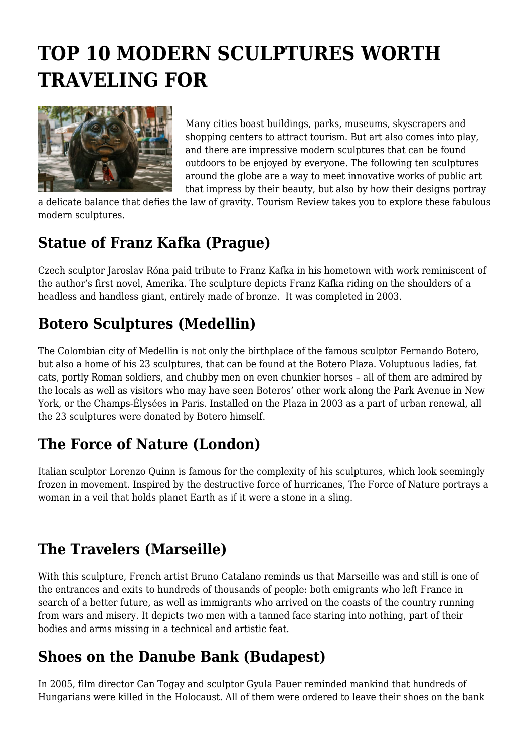# **TOP 10 MODERN SCULPTURES WORTH TRAVELING FOR**



Many cities boast buildings, parks, museums, skyscrapers and shopping centers to attract tourism. But art also comes into play, and there are impressive modern sculptures that can be found outdoors to be enjoyed by everyone. The following ten sculptures around the globe are a way to meet innovative works of public art that impress by their beauty, but also by how their designs portray

a delicate balance that defies the law of gravity. Tourism Review takes you to explore these fabulous modern sculptures.

#### **Statue of Franz Kafka (Prague)**

Czech sculptor Jaroslav Róna paid tribute to Franz Kafka in his hometown with work reminiscent of the author's first novel, Amerika. The sculpture depicts Franz Kafka riding on the shoulders of a headless and handless giant, entirely made of bronze. It was completed in 2003.

## **Botero Sculptures (Medellin)**

The Colombian city of Medellin is not only the birthplace of the famous sculptor Fernando Botero, but also a home of his 23 sculptures, that can be found at the Botero Plaza. Voluptuous ladies, fat cats, portly Roman soldiers, and chubby men on even chunkier horses – all of them are admired by the locals as well as visitors who may have seen Boteros' other work along the Park Avenue in New York, or the Champs-Élysées in Paris. Installed on the Plaza in 2003 as a part of urban renewal, all the 23 sculptures were donated by Botero himself.

## **The Force of Nature (London)**

Italian sculptor Lorenzo Quinn is famous for the complexity of his sculptures, which look seemingly frozen in movement. Inspired by the destructive force of hurricanes, The Force of Nature portrays a woman in a veil that holds planet Earth as if it were a stone in a sling.

## **The Travelers (Marseille)**

With this sculpture, French artist Bruno Catalano reminds us that Marseille was and still is one of the entrances and exits to hundreds of thousands of people: both emigrants who left France in search of a better future, as well as immigrants who arrived on the coasts of the country running from wars and misery. It depicts two men with a tanned face staring into nothing, part of their bodies and arms missing in a technical and artistic feat.

## **Shoes on the Danube Bank (Budapest)**

In 2005, film director Can Togay and sculptor Gyula Pauer reminded mankind that hundreds of Hungarians were killed in the Holocaust. All of them were ordered to leave their shoes on the bank